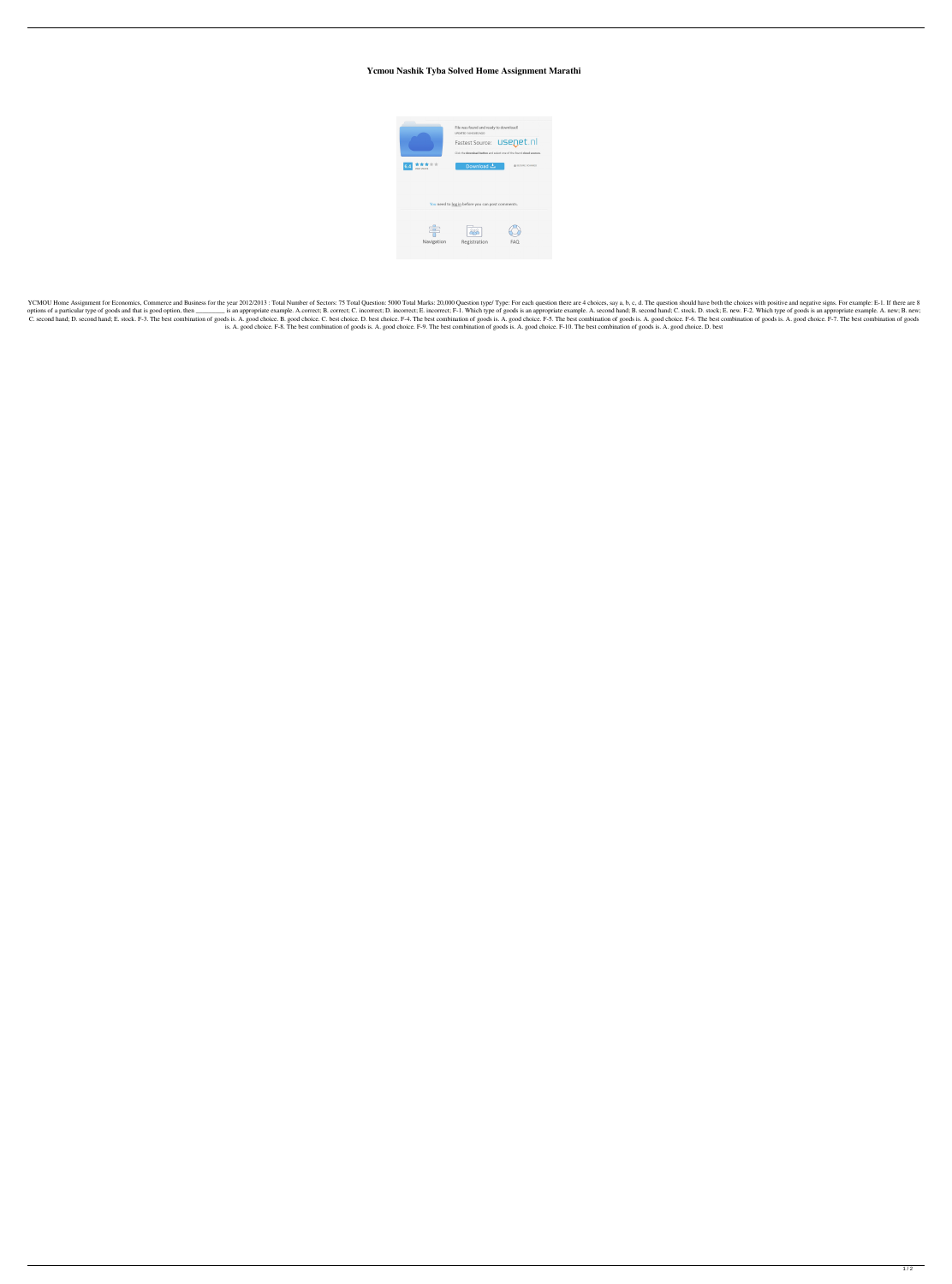## **Ycmou Nashik Tyba Solved Home Assignment Marathi**



YCMOU Home Assignment for Economics, Commerce and Business for the year 2012/2013: Total Number of Sectors: 75 Total Question: 5000 Total Marks: 20,000 Question type/ Type: For each question there are 4 choices, say a, b, options of a particular type of goods and that is good option, then \_\_\_\_\_\_\_\_\_ is an appropriate example. A.correct; B. correct; C. incorrect; E. incorrect; E. incorrect; E. incorrect; E. incorrect; F-1. Which type of goods C. second hand; D. second hand; E. stock. F-3. The best combination of goods is. A. good choice. B. good choice. C. best choice. D. best combination of goods is. A. good choice. F-5. The best combination of goods is. A. go is. A. good choice. F-8. The best combination of goods is. A. good choice. F-9. The best combination of goods is. A. good choice. F-10. The best combination of goods is. A. good choice. D. best